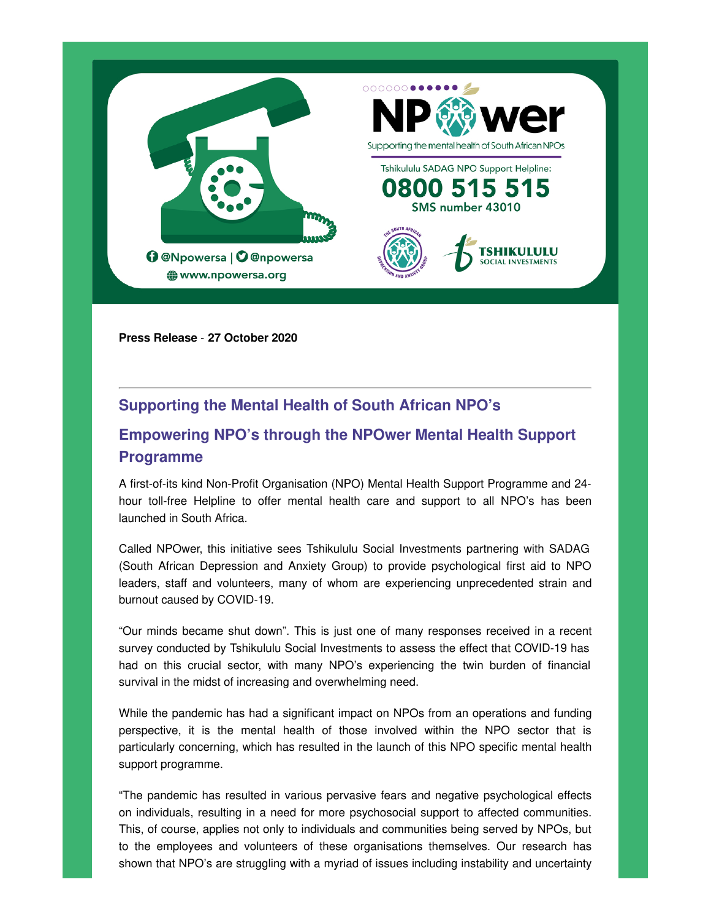

**Press Release** - **27 October 2020**

## **Supporting the Mental Health of South African NPO's**

# **Empowering NPO's through the NPOwer Mental Health Support Programme**

A first-of-its kind Non-Profit Organisation (NPO) Mental Health Support Programme and 24 hour toll-free Helpline to offer mental health care and support to all NPO's has been launched in South Africa.

Called NPOwer, this initiative sees Tshikululu Social Investments partnering with SADAG (South African Depression and Anxiety Group) to provide psychological first aid to NPO leaders, staff and volunteers, many of whom are experiencing unprecedented strain and burnout caused by COVID-19.

"Our minds became shut down". This is just one of many responses received in a recent survey conducted by Tshikululu Social Investments to assess the effect that COVID-19 has had on this crucial sector, with many NPO's experiencing the twin burden of financial survival in the midst of increasing and overwhelming need.

While the pandemic has had a significant impact on NPOs from an operations and funding perspective, it is the mental health of those involved within the NPO sector that is particularly concerning, which has resulted in the launch of this NPO specific mental health support programme.

"The pandemic has resulted in various pervasive fears and negative psychological effects on individuals, resulting in a need for more psychosocial support to affected communities. This, of course, applies not only to individuals and communities being served by NPOs, but to the employees and volunteers of these organisations themselves. Our research has shown that NPO's are struggling with a myriad of issues including instability and uncertainty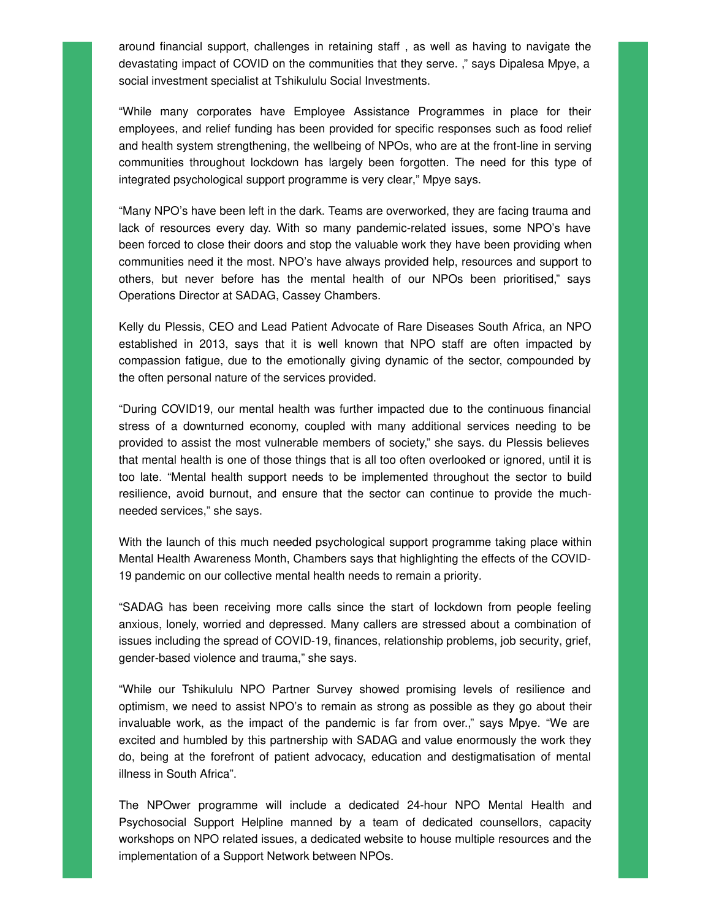around financial support, challenges in retaining staff , as well as having to navigate the devastating impact of COVID on the communities that they serve. ," says Dipalesa Mpye, a social investment specialist at Tshikululu Social Investments.

"While many corporates have Employee Assistance Programmes in place for their employees, and relief funding has been provided for specific responses such as food relief and health system strengthening, the wellbeing of NPOs, who are at the front-line in serving communities throughout lockdown has largely been forgotten. The need for this type of integrated psychological support programme is very clear," Mpye says.

"Many NPO's have been left in the dark. Teams are overworked, they are facing trauma and lack of resources every day. With so many pandemic-related issues, some NPO's have been forced to close their doors and stop the valuable work they have been providing when communities need it the most. NPO's have always provided help, resources and support to others, but never before has the mental health of our NPOs been prioritised," says Operations Director at SADAG, Cassey Chambers.

Kelly du Plessis, CEO and Lead Patient Advocate of Rare Diseases South Africa, an NPO established in 2013, says that it is well known that NPO staff are often impacted by compassion fatigue, due to the emotionally giving dynamic of the sector, compounded by the often personal nature of the services provided.

"During COVID19, our mental health was further impacted due to the continuous financial stress of a downturned economy, coupled with many additional services needing to be provided to assist the most vulnerable members of society," she says. du Plessis believes that mental health is one of those things that is all too often overlooked or ignored, until it is too late. "Mental health support needs to be implemented throughout the sector to build resilience, avoid burnout, and ensure that the sector can continue to provide the muchneeded services," she says.

With the launch of this much needed psychological support programme taking place within Mental Health Awareness Month, Chambers says that highlighting the effects of the COVID-19 pandemic on our collective mental health needs to remain a priority.

"SADAG has been receiving more calls since the start of lockdown from people feeling anxious, lonely, worried and depressed. Many callers are stressed about a combination of issues including the spread of COVID-19, finances, relationship problems, job security, grief, gender-based violence and trauma," she says.

"While our Tshikululu NPO Partner Survey showed promising levels of resilience and optimism, we need to assist NPO's to remain as strong as possible as they go about their invaluable work, as the impact of the pandemic is far from over.," says Mpye. "We are excited and humbled by this partnership with SADAG and value enormously the work they do, being at the forefront of patient advocacy, education and destigmatisation of mental illness in South Africa".

The NPOwer programme will include a dedicated 24-hour NPO Mental Health and Psychosocial Support Helpline manned by a team of dedicated counsellors, capacity workshops on NPO related issues, a dedicated website to house multiple resources and the implementation of a Support Network between NPOs.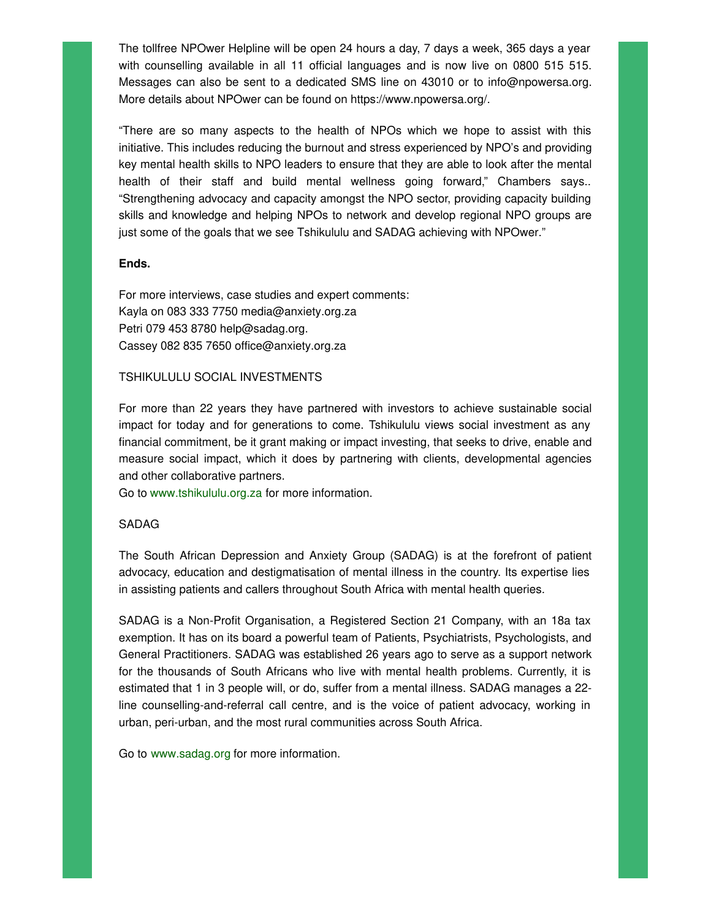The tollfree NPOwer Helpline will be open 24 hours a day, 7 days a week, 365 days a year with counselling available in all 11 official languages and is now live on 0800 515 515. Messages can also be sent to a dedicated SMS line on 43010 or to info@npowersa.org. More details about NPOwer can be found on https://www.npowersa.org/.

"There are so many aspects to the health of NPOs which we hope to assist with this initiative. This includes reducing the burnout and stress experienced by NPO's and providing key mental health skills to NPO leaders to ensure that they are able to look after the mental health of their staff and build mental wellness going forward," Chambers says.. "Strengthening advocacy and capacity amongst the NPO sector, providing capacity building skills and knowledge and helping NPOs to network and develop regional NPO groups are just some of the goals that we see Tshikululu and SADAG achieving with NPOwer."

#### **Ends.**

For more interviews, case studies and expert comments: Kayla on 083 333 7750 media@anxiety.org.za Petri 079 453 8780 help@sadag.org. Cassey 082 835 7650 office@anxiety.org.za

#### TSHIKULULU SOCIAL INVESTMENTS

For more than 22 years they have partnered with investors to achieve sustainable social impact for today and for generations to come. Tshikululu views social investment as any financial commitment, be it grant making or impact investing, that seeks to drive, enable and measure social impact, which it does by partnering with clients, developmental agencies and other collaborative partners.

Go to [www.tshikululu.org.za](http://www.tshikululu.org.za) for more information.

### SADAG

The South African Depression and Anxiety Group (SADAG) is at the forefront of patient advocacy, education and destigmatisation of mental illness in the country. Its expertise lies in assisting patients and callers throughout South Africa with mental health queries.

SADAG is a Non-Profit Organisation, a Registered Section 21 Company, with an 18a tax exemption. It has on its board a powerful team of Patients, Psychiatrists, Psychologists, and General Practitioners. SADAG was established 26 years ago to serve as a support network for the thousands of South Africans who live with mental health problems. Currently, it is estimated that 1 in 3 people will, or do, suffer from a mental illness. SADAG manages a 22 line counselling-and-referral call centre, and is the voice of patient advocacy, working in urban, peri-urban, and the most rural communities across South Africa.

Go to [www.sadag.org](http://www.sadag.org) for more information.